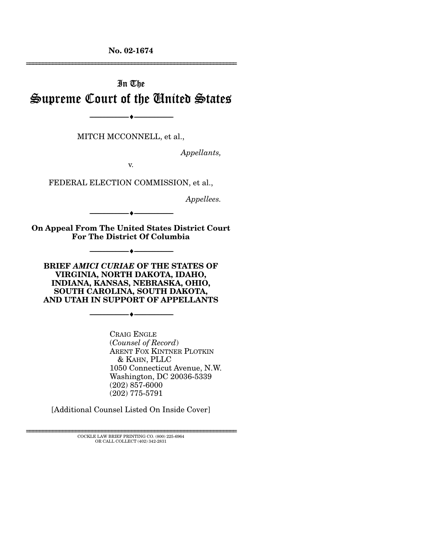**No. 02-1674** 

# In The Supreme Court of the United States

MITCH MCCONNELL, et al.,

----------------------------- ------------------------------

----♦-- -

*Appellants,* 

================================================================

v.

FEDERAL ELECTION COMMISSION, et al.,

*Appellees.* 

----------------------------- ------------------------------ **On Appeal From The United States District Court** 

----------------------------- ------------------------------

**For The District Of Columbia** 

----♦-- -

----♦-- -

----♦-- -

**BRIEF** *AMICI CURIAE* **OF THE STATES OF VIRGINIA, NORTH DAKOTA, IDAHO, INDIANA, KANSAS, NEBRASKA, OHIO, SOUTH CAROLINA, SOUTH DAKOTA, AND UTAH IN SUPPORT OF APPELLANTS** 

----------------------------- ------------------------------

CRAIG ENGLE (*Counsel of Record*) ARENT FOX KINTNER PLOTKIN & KAHN, PLLC 1050 Connecticut Avenue, N.W. Washington, DC 20036-5339 (202) 857-6000 (202) 775-5791

[Additional Counsel Listed On Inside Cover]

================================================================ COCKLE LAW BRIEF PRINTING CO. (800) 225-6964 OR CALL COLLECT (402) 342-2831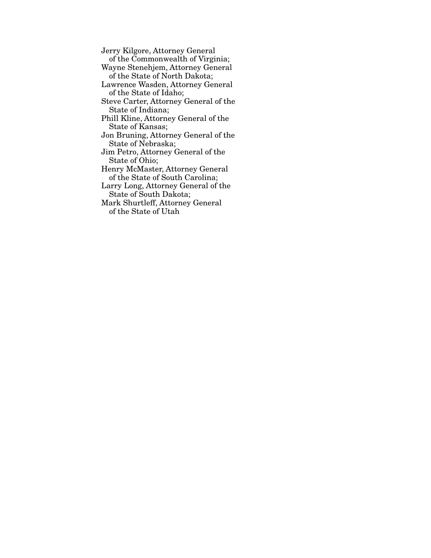Jerry Kilgore, Attorney General of the Commonwealth of Virginia;

Wayne Stenehjem, Attorney General of the State of North Dakota;

Lawrence Wasden, Attorney General of the State of Idaho;

Steve Carter, Attorney General of the State of Indiana;

Phill Kline, Attorney General of the State of Kansas;

Jon Bruning, Attorney General of the State of Nebraska;

Jim Petro, Attorney General of the State of Ohio;

Henry McMaster, Attorney General of the State of South Carolina;

Larry Long, Attorney General of the State of South Dakota;

Mark Shurtleff, Attorney General of the State of Utah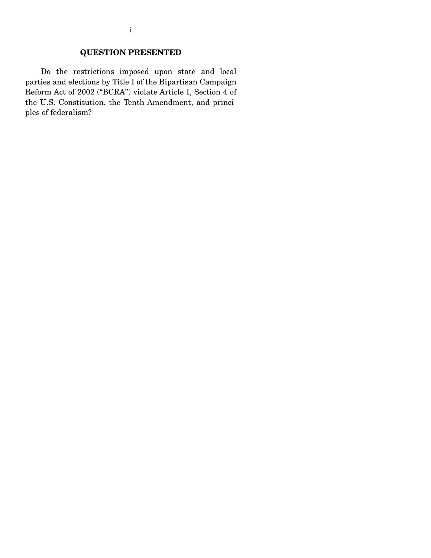### **QUESTION PRESENTED**

Do the restrictions imposed upon state and local parties and elections by Title I of the Bipartisan Campaign Reform Act of 2002 ("BCRA") violate Article I, Section 4 of the U.S. Constitution, the Tenth Amendment, and princi ples of federalism?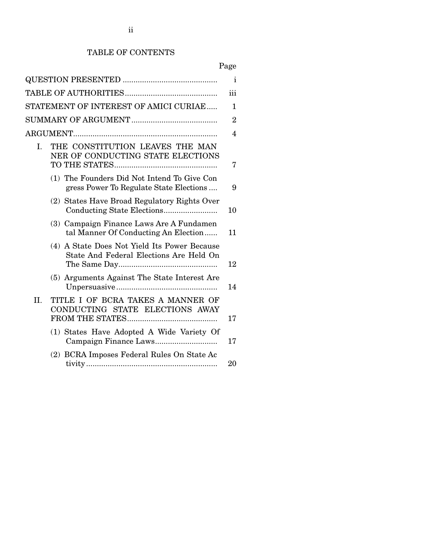### TABLE OF CONTENTS

|             |                                                                                         | $\mathbf{i}$   |
|-------------|-----------------------------------------------------------------------------------------|----------------|
|             |                                                                                         | iii            |
|             | STATEMENT OF INTEREST OF AMICI CURIAE                                                   | 1              |
|             |                                                                                         | $\overline{2}$ |
|             |                                                                                         | 4              |
| $I_{\cdot}$ | THE CONSTITUTION LEAVES THE MAN<br>NER OF CONDUCTING STATE ELECTIONS                    | 7              |
|             | (1) The Founders Did Not Intend To Give Con<br>gress Power To Regulate State Elections  | 9              |
|             | (2) States Have Broad Regulatory Rights Over                                            | 10             |
|             | (3) Campaign Finance Laws Are A Fundamen<br>tal Manner Of Conducting An Election        | 11             |
|             | (4) A State Does Not Yield Its Power Because<br>State And Federal Elections Are Held On | 12             |
|             | (5) Arguments Against The State Interest Are                                            | 14             |
| II.         | TITLE I OF BCRA TAKES A MANNER OF<br>CONDUCTING STATE ELECTIONS AWAY                    | 17             |
|             | (1) States Have Adopted A Wide Variety Of                                               | 17             |
|             | (2) BCRA Imposes Federal Rules On State Ac                                              | 20             |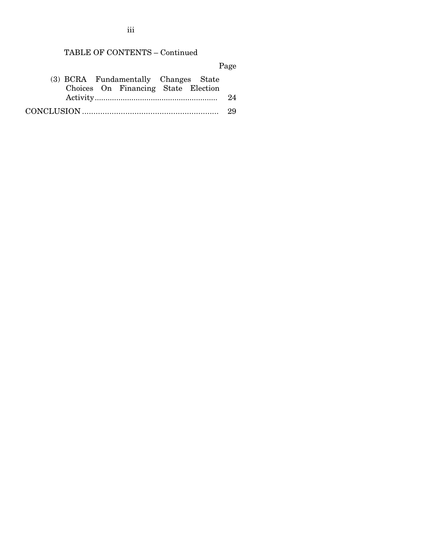### TABLE OF CONTENTS – Continued

Page

| (3) BCRA Fundamentally Changes State |  |
|--------------------------------------|--|
| Choices On Financing State Election  |  |
|                                      |  |
|                                      |  |

iii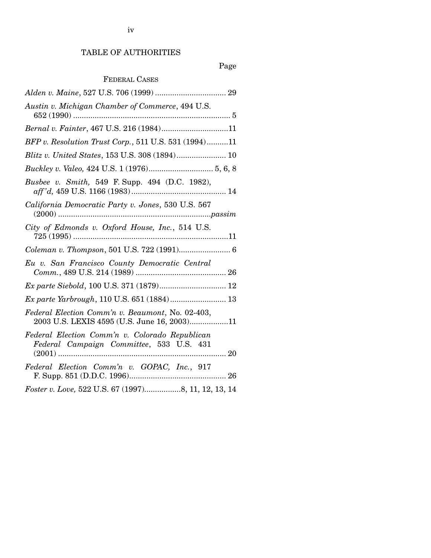### TABLE OF AUTHORITIES

## Page

### FEDERAL CASES

| Austin v. Michigan Chamber of Commerce, 494 U.S.                                                |
|-------------------------------------------------------------------------------------------------|
| Bernal v. Fainter, 467 U.S. 216 (1984)11                                                        |
| BFP v. Resolution Trust Corp., 511 U.S. 531 (1994)11                                            |
|                                                                                                 |
|                                                                                                 |
| Busbee v. Smith, 549 F. Supp. 494 (D.C. 1982),                                                  |
| California Democratic Party v. Jones, 530 U.S. 567                                              |
| City of Edmonds v. Oxford House, Inc., 514 U.S.                                                 |
|                                                                                                 |
| Eu v. San Francisco County Democratic Central                                                   |
| Ex parte Siebold, 100 U.S. 371 (1879) 12                                                        |
|                                                                                                 |
| Ex parte Yarbrough, 110 U.S. 651 (1884) 13                                                      |
| Federal Election Comm'n v. Beaumont, No. 02-403,<br>2003 U.S. LEXIS 4595 (U.S. June 16, 2003)11 |
| Federal Election Comm'n v. Colorado Republican<br>Federal Campaign Committee, 533 U.S. 431      |
| Federal Election Comm'n v. GOPAC, Inc., 917                                                     |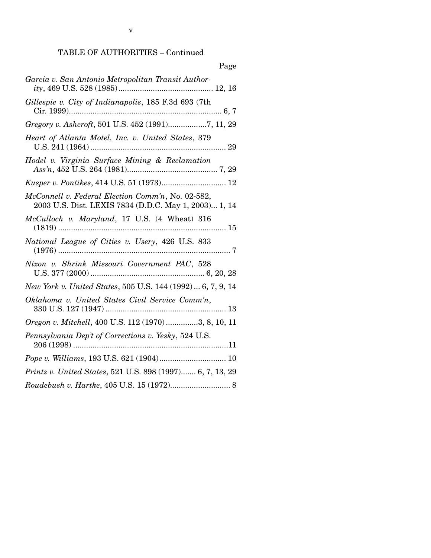### TABLE OF AUTHORITIES – Continued

| Page                                                                                                       |
|------------------------------------------------------------------------------------------------------------|
| Garcia v. San Antonio Metropolitan Transit Author-                                                         |
| Gillespie v. City of Indianapolis, 185 F.3d 693 (7th                                                       |
| Gregory v. Ashcroft, 501 U.S. 452 (1991)7, 11, 29                                                          |
| Heart of Atlanta Motel, Inc. v. United States, 379                                                         |
| Hodel v. Virginia Surface Mining & Reclamation                                                             |
|                                                                                                            |
| McConnell v. Federal Election Comm'n, No. 02-582,<br>2003 U.S. Dist. LEXIS 7834 (D.D.C. May 1, 2003) 1, 14 |
| McCulloch v. Maryland, 17 U.S. (4 Wheat) 316                                                               |
| National League of Cities v. Usery, 426 U.S. 833                                                           |
| Nixon v. Shrink Missouri Government PAC, 528                                                               |
| New York v. United States, 505 U.S. 144 (1992)  6, 7, 9, 14                                                |
| Oklahoma v. United States Civil Service Comm'n,                                                            |
| Oregon v. Mitchell, 400 U.S. 112 (1970)3, 8, 10, 11                                                        |
| Pennsylvania Dep't of Corrections v. Yesky, 524 U.S.                                                       |
|                                                                                                            |
| Printz v. United States, 521 U.S. 898 (1997) 6, 7, 13, 29                                                  |
|                                                                                                            |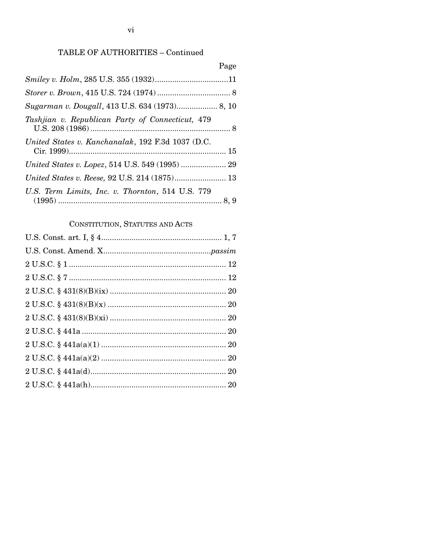### TABLE OF AUTHORITIES - Continued

|                                                   | Page |
|---------------------------------------------------|------|
|                                                   |      |
|                                                   |      |
|                                                   |      |
| Tashjian v. Republican Party of Connecticut, 479  |      |
| United States v. Kanchanalak, 192 F.3d 1037 (D.C. |      |
| United States v. Lopez, 514 U.S. 549 (1995)  29   |      |
|                                                   |      |
| U.S. Term Limits, Inc. v. Thornton, 514 U.S. 779  |      |

# CONSTITUTION, STATUTES AND ACTS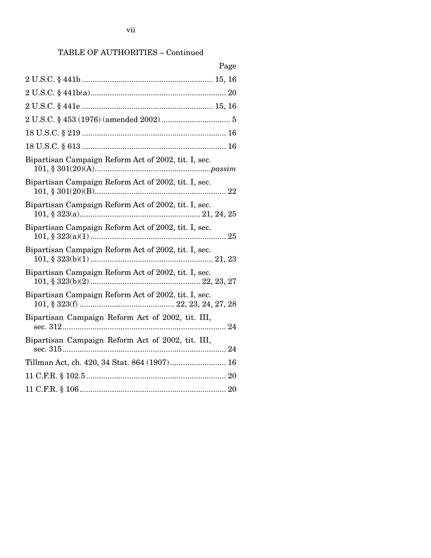# TABLE OF AUTHORITIES – Continued

| Page                                                 |
|------------------------------------------------------|
|                                                      |
|                                                      |
|                                                      |
|                                                      |
|                                                      |
|                                                      |
| Bipartisan Campaign Reform Act of 2002, tit. I, sec. |
| Bipartisan Campaign Reform Act of 2002, tit. I, sec. |
| Bipartisan Campaign Reform Act of 2002, tit. I, sec. |
| Bipartisan Campaign Reform Act of 2002, tit. I, sec. |
| Bipartisan Campaign Reform Act of 2002, tit. I, sec. |
| Bipartisan Campaign Reform Act of 2002, tit. I, sec. |
| Bipartisan Campaign Reform Act of 2002, tit. I, sec. |
| Bipartisan Campaign Reform Act of 2002, tit. III,    |
| Bipartisan Campaign Reform Act of 2002, tit. III,    |
| Tillman Act, ch. 420, 34 Stat. 864 (1907) 16         |
|                                                      |
|                                                      |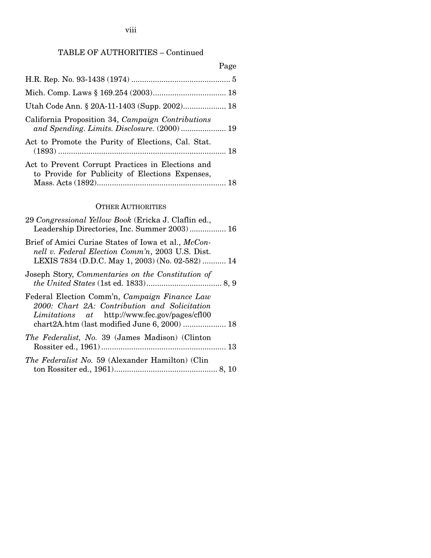viii

## TABLE OF AUTHORITIES – Continued

|                                                                                                      | Page |
|------------------------------------------------------------------------------------------------------|------|
|                                                                                                      |      |
|                                                                                                      |      |
|                                                                                                      |      |
| California Proposition 34, Campaign Contributions<br>and Spending. Limits. Disclosure. (2000) 19     |      |
| Act to Promote the Purity of Elections, Cal. Stat.                                                   |      |
| Act to Prevent Corrupt Practices in Elections and<br>to Provide for Publicity of Elections Expenses, |      |

### OTHER AUTHORITIES

| 29 Congressional Yellow Book (Ericka J. Claflin ed.,<br>Leadership Directories, Inc. Summer 2003) 16                                                        |  |
|-------------------------------------------------------------------------------------------------------------------------------------------------------------|--|
| Brief of Amici Curiae States of Iowa et al., McCon-<br>nell v. Federal Election Comm'n, 2003 U.S. Dist.<br>LEXIS 7834 (D.D.C. May 1, 2003) (No. 02-582)  14 |  |
| Joseph Story, Commentaries on the Constitution of                                                                                                           |  |
| Federal Election Comm'n, Campaign Finance Law<br>2000: Chart 2A: Contribution and Solicitation<br><i>Limitations</i> at http://www.fec.gov/pages/cfl00      |  |
| <i>The Federalist, No.</i> 39 (James Madison) (Clinton                                                                                                      |  |
| <i>The Federalist No.</i> 59 (Alexander Hamilton) (Clin                                                                                                     |  |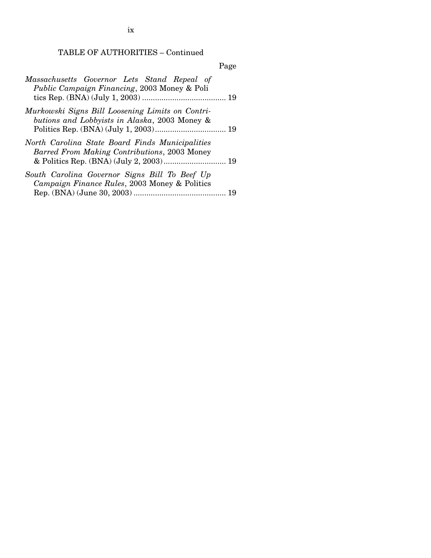TABLE OF AUTHORITIES – Continued

|                                                                                                     | Page |
|-----------------------------------------------------------------------------------------------------|------|
| Massachusetts Governor Lets Stand Repeal of<br><i>Public Campaign Financing</i> , 2003 Money & Poli |      |
| Murkowski Signs Bill Loosening Limits on Contri-<br>butions and Lobbyists in Alaska, 2003 Money &   |      |
| North Carolina State Board Finds Municipalities<br>Barred From Making Contributions, 2003 Money     |      |
| South Carolina Governor Signs Bill To Beef Up<br>Campaign Finance Rules, 2003 Money & Politics      |      |

ix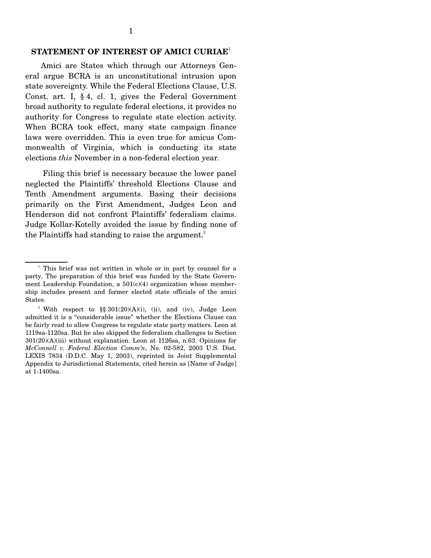### **STATEMENT OF INTEREST OF AMICI CURIAE**<sup>1</sup>

Amici are States which through our Attorneys General argue BCRA is an unconstitutional intrusion upon state sovereignty. While the Federal Elections Clause, U.S. Const. art. I, § 4, cl. 1, gives the Federal Government broad authority to regulate federal elections, it provides no authority for Congress to regulate state election activity. When BCRA took effect, many state campaign finance laws were overridden. This is even true for amicus Commonwealth of Virginia, which is conducting its state elections *this* November in a non-federal election year.

Filing this brief is necessary because the lower panel neglected the Plaintiffs' threshold Elections Clause and Tenth Amendment arguments. Basing their decisions primarily on the First Amendment, Judges Leon and Henderson did not confront Plaintiffs' federalism claims. Judge Kollar-Kotelly avoided the issue by finding none of the Plaintiffs had standing to raise the argument. $^{2}$ 

<sup>&</sup>lt;sup>1</sup> This brief was not written in whole or in part by counsel for a party. The preparation of this brief was funded by the State Government Leadership Foundation, a  $501(c)(4)$  organization whose membership includes present and former elected state officials of the amici States.

<sup>&</sup>lt;sup>2</sup> With respect to §§ 301(20)(A)(i), (ii), and (iv), Judge Leon admitted it is a "considerable issue" whether the Elections Clause can be fairly read to allow Congress to regulate state party matters. Leon at 1119sa-1120sa. But he also skipped the federalism challenges to Section 301(20)(A)(iii) without explanation. Leon at 1126sa, n.63. Opinions for *McConnell v. Federal Election Comm'n*, No. 02-582, 2003 U.S. Dist. LEXIS 7834 (D.D.C. May 1, 2003), reprinted in Joint Supplemental Appendix to Jurisdictional Statements, cited herein as [Name of Judge] at 1-1400sa.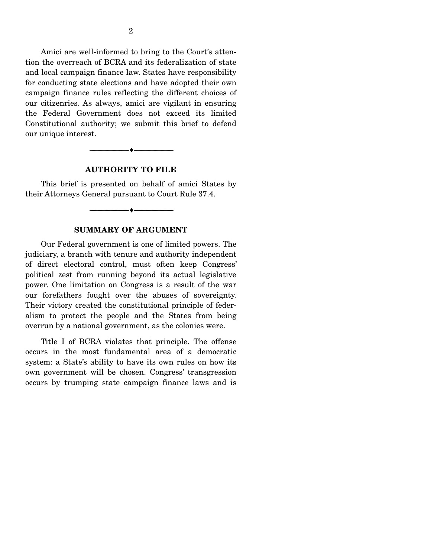Amici are well-informed to bring to the Court's attention the overreach of BCRA and its federalization of state and local campaign finance law. States have responsibility for conducting state elections and have adopted their own campaign finance rules reflecting the different choices of our citizenries. As always, amici are vigilant in ensuring the Federal Government does not exceed its limited Constitutional authority; we submit this brief to defend our unique interest.

#### **AUTHORITY TO FILE**

----------------------------- ------------------------------

----♦-- -

----♦-- -

This brief is presented on behalf of amici States by their Attorneys General pursuant to Court Rule 37.4.

#### **SUMMARY OF ARGUMENT**

----------------------------- ------------------------------

Our Federal government is one of limited powers. The judiciary, a branch with tenure and authority independent of direct electoral control, must often keep Congress' political zest from running beyond its actual legislative power. One limitation on Congress is a result of the war our forefathers fought over the abuses of sovereignty. Their victory created the constitutional principle of federalism to protect the people and the States from being overrun by a national government, as the colonies were.

Title I of BCRA violates that principle. The offense occurs in the most fundamental area of a democratic system: a State's ability to have its own rules on how its own government will be chosen. Congress' transgression occurs by trumping state campaign finance laws and is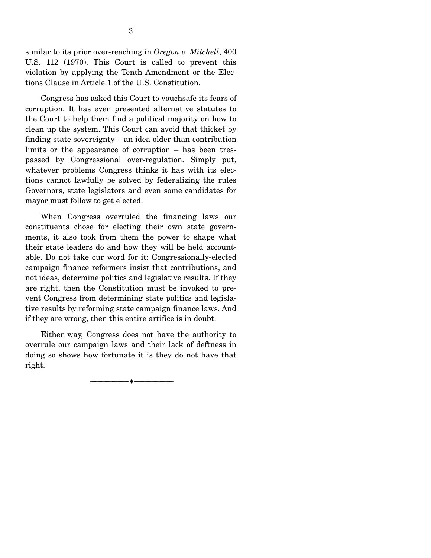similar to its prior over-reaching in *Oregon v. Mitchell*, 400 U.S. 112 (1970). This Court is called to prevent this violation by applying the Tenth Amendment or the Elections Clause in Article 1 of the U.S. Constitution.

Congress has asked this Court to vouchsafe its fears of corruption. It has even presented alternative statutes to the Court to help them find a political majority on how to clean up the system. This Court can avoid that thicket by finding state sovereignty – an idea older than contribution limits or the appearance of corruption – has been trespassed by Congressional over-regulation. Simply put, whatever problems Congress thinks it has with its elections cannot lawfully be solved by federalizing the rules Governors, state legislators and even some candidates for mayor must follow to get elected.

When Congress overruled the financing laws our constituents chose for electing their own state governments, it also took from them the power to shape what their state leaders do and how they will be held accountable. Do not take our word for it: Congressionally-elected campaign finance reformers insist that contributions, and not ideas, determine politics and legislative results. If they are right, then the Constitution must be invoked to prevent Congress from determining state politics and legislative results by reforming state campaign finance laws. And if they are wrong, then this entire artifice is in doubt.

Either way, Congress does not have the authority to overrule our campaign laws and their lack of deftness in doing so shows how fortunate it is they do not have that right.

> ----------------------------- ------------------------------ ----♦-- -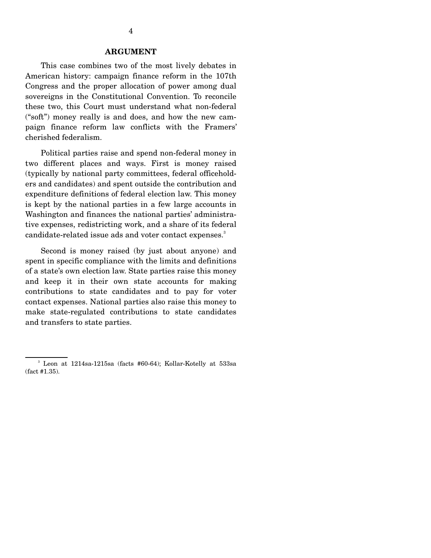#### **ARGUMENT**

This case combines two of the most lively debates in American history: campaign finance reform in the 107th Congress and the proper allocation of power among dual sovereigns in the Constitutional Convention. To reconcile these two, this Court must understand what non-federal ("soft") money really is and does, and how the new campaign finance reform law conflicts with the Framers' cherished federalism.

Political parties raise and spend non-federal money in two different places and ways. First is money raised (typically by national party committees, federal officeholders and candidates) and spent outside the contribution and expenditure definitions of federal election law. This money is kept by the national parties in a few large accounts in Washington and finances the national parties' administrative expenses, redistricting work, and a share of its federal candidate-related issue ads and voter contact expenses.<sup>3</sup>

Second is money raised (by just about anyone) and spent in specific compliance with the limits and definitions of a state's own election law. State parties raise this money and keep it in their own state accounts for making contributions to state candidates and to pay for voter contact expenses. National parties also raise this money to make state-regulated contributions to state candidates and transfers to state parties.

 $3$  Leon at 1214sa-1215sa (facts #60-64); Kollar-Kotelly at 533sa (fact #1.35).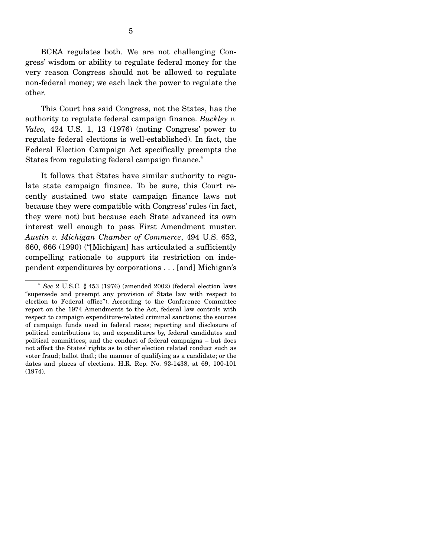BCRA regulates both. We are not challenging Congress' wisdom or ability to regulate federal money for the very reason Congress should not be allowed to regulate non-federal money; we each lack the power to regulate the other.

This Court has said Congress, not the States, has the authority to regulate federal campaign finance. *Buckley v. Valeo,* 424 U.S. 1, 13 (1976) (noting Congress' power to regulate federal elections is well-established). In fact, the Federal Election Campaign Act specifically preempts the States from regulating federal campaign finance.<sup>4</sup>

It follows that States have similar authority to regulate state campaign finance. To be sure, this Court recently sustained two state campaign finance laws not because they were compatible with Congress' rules (in fact, they were not) but because each State advanced its own interest well enough to pass First Amendment muster. *Austin v. Michigan Chamber of Commerce*, 494 U.S. 652, 660, 666 (1990) ("[Michigan] has articulated a sufficiently compelling rationale to support its restriction on independent expenditures by corporations . . . [and] Michigan's

<sup>4</sup>*See* 2 U.S.C. § 453 (1976) (amended 2002) (federal election laws "supersede and preempt any provision of State law with respect to election to Federal office"). According to the Conference Committee report on the 1974 Amendments to the Act, federal law controls with respect to campaign expenditure-related criminal sanctions; the sources of campaign funds used in federal races; reporting and disclosure of political contributions to, and expenditures by, federal candidates and political committees; and the conduct of federal campaigns – but does not affect the States' rights as to other election related conduct such as voter fraud; ballot theft; the manner of qualifying as a candidate; or the dates and places of elections. H.R. Rep. No. 93-1438, at 69, 100-101 (1974).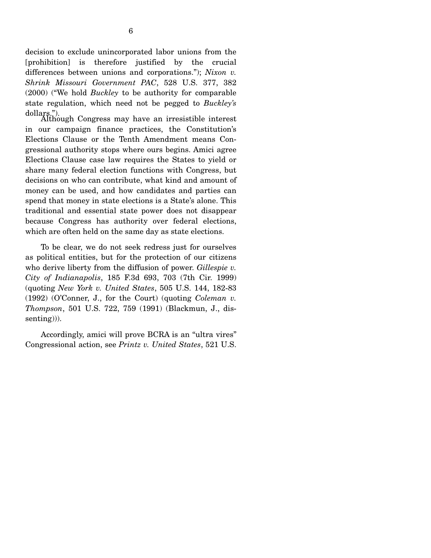decision to exclude unincorporated labor unions from the [prohibition] is therefore justified by the crucial differences between unions and corporations."); *Nixon v. Shrink Missouri Government PAC*, 528 U.S. 377, 382 (2000) ("We hold *Buckley* to be authority for comparable state regulation, which need not be pegged to *Buckley's* 

dollars."). Although Congress may have an irresistible interest in our campaign finance practices, the Constitution's Elections Clause or the Tenth Amendment means Congressional authority stops where ours begins. Amici agree Elections Clause case law requires the States to yield or share many federal election functions with Congress, but decisions on who can contribute, what kind and amount of money can be used, and how candidates and parties can spend that money in state elections is a State's alone. This traditional and essential state power does not disappear because Congress has authority over federal elections, which are often held on the same day as state elections.

To be clear, we do not seek redress just for ourselves as political entities, but for the protection of our citizens who derive liberty from the diffusion of power. *Gillespie v. City of Indianapolis*, 185 F.3d 693, 703 (7th Cir. 1999) (quoting *New York v. United States*, 505 U.S. 144, 182-83 (1992) (O'Conner, J., for the Court) (quoting *Coleman v. Thompson*, 501 U.S. 722, 759 (1991) (Blackmun, J., dissenting))).

Accordingly, amici will prove BCRA is an "ultra vires" Congressional action, see *Printz v. United States*, 521 U.S.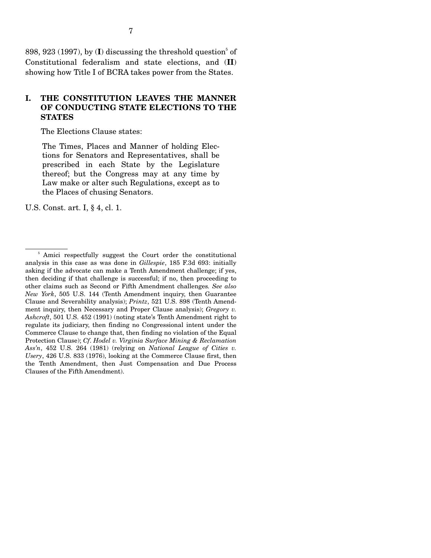$898, 923$  (1997), by (I) discussing the threshold question<sup>5</sup> of Constitutional federalism and state elections, and (**II**) showing how Title I of BCRA takes power from the States.

#### **I. THE CONSTITUTION LEAVES THE MANNER OF CONDUCTING STATE ELECTIONS TO THE STATES**

The Elections Clause states:

The Times, Places and Manner of holding Elections for Senators and Representatives, shall be prescribed in each State by the Legislature thereof; but the Congress may at any time by Law make or alter such Regulations, except as to the Places of chusing Senators.

U.S. Const. art. I, § 4, cl. 1.

<sup>&</sup>lt;sup>5</sup> Amici respectfully suggest the Court order the constitutional analysis in this case as was done in *Gillespie*, 185 F.3d 693: initially asking if the advocate can make a Tenth Amendment challenge; if yes, then deciding if that challenge is successful; if no, then proceeding to other claims such as Second or Fifth Amendment challenges*. See also New York*, 505 U.S. 144 (Tenth Amendment inquiry, then Guarantee Clause and Severability analysis); *Printz*, 521 U.S. 898 (Tenth Amendment inquiry, then Necessary and Proper Clause analysis); *Gregory v. Ashcroft*, 501 U.S. 452 (1991) (noting state's Tenth Amendment right to regulate its judiciary, then finding no Congressional intent under the Commerce Clause to change that, then finding no violation of the Equal Protection Clause); *Cf*. *Hodel v. Virginia Surface Mining & Reclamation Ass'n*, 452 U.S. 264 (1981) (relying on *National League of Cities v. Usery*, 426 U.S. 833 (1976), looking at the Commerce Clause first, then the Tenth Amendment, then Just Compensation and Due Process Clauses of the Fifth Amendment).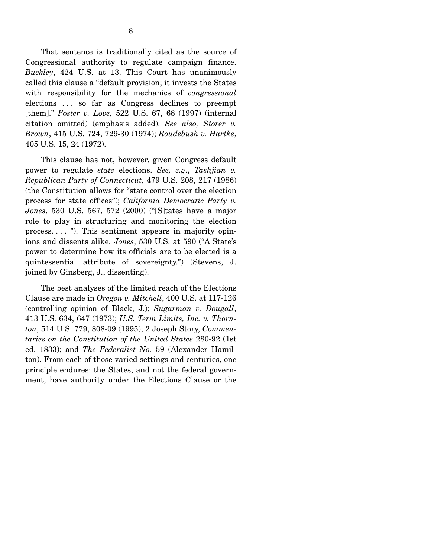That sentence is traditionally cited as the source of Congressional authority to regulate campaign finance. *Buckley*, 424 U.S. at 13. This Court has unanimously called this clause a "default provision; it invests the States with responsibility for the mechanics of *congressional*  elections . . . so far as Congress declines to preempt [them]." *Foster v. Love,* 522 U.S. 67, 68 (1997) (internal citation omitted) (emphasis added). *See also, Storer v. Brown*, 415 U.S. 724, 729-30 (1974); *Roudebush v. Hartke*, 405 U.S. 15, 24 (1972).

This clause has not, however, given Congress default power to regulate *state* elections. *See, e.g*., *Tashjian v. Republican Party of Connecticut,* 479 U.S. 208, 217 (1986) (the Constitution allows for "state control over the election process for state offices"); *California Democratic Party v. Jones*, 530 U.S. 567, 572 (2000) ("[S]tates have a major role to play in structuring and monitoring the election process. . . . "). This sentiment appears in majority opinions and dissents alike. *Jones*, 530 U.S. at 590 ("A State's power to determine how its officials are to be elected is a quintessential attribute of sovereignty.") (Stevens, J. joined by Ginsberg, J., dissenting).

The best analyses of the limited reach of the Elections Clause are made in *Oregon v. Mitchell*, 400 U.S. at 117-126 (controlling opinion of Black, J.); *Sugarman v. Dougall*, 413 U.S. 634, 647 (1973); *U.S. Term Limits, Inc. v. Thornton*, 514 U.S. 779, 808-09 (1995); 2 Joseph Story, *Commentaries on the Constitution of the United States* 280-92 (1st ed. 1833); and *The Federalist No.* 59 (Alexander Hamilton). From each of those varied settings and centuries, one principle endures: the States, and not the federal government, have authority under the Elections Clause or the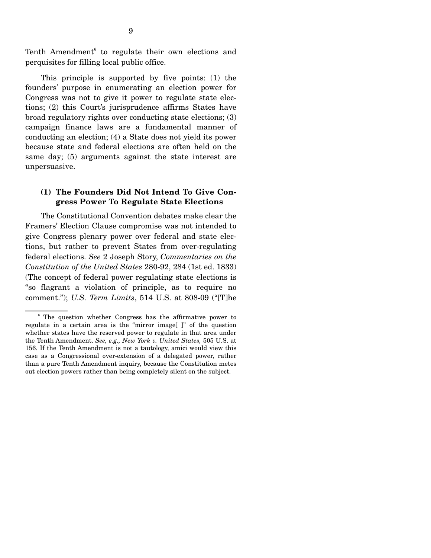Tenth Amendment<sup>6</sup> to regulate their own elections and perquisites for filling local public office.

This principle is supported by five points: (1) the founders' purpose in enumerating an election power for Congress was not to give it power to regulate state elections; (2) this Court's jurisprudence affirms States have broad regulatory rights over conducting state elections; (3) campaign finance laws are a fundamental manner of conducting an election; (4) a State does not yield its power because state and federal elections are often held on the same day; (5) arguments against the state interest are unpersuasive.

#### **(1) The Founders Did Not Intend To Give Congress Power To Regulate State Elections**

The Constitutional Convention debates make clear the Framers' Election Clause compromise was not intended to give Congress plenary power over federal and state elections, but rather to prevent States from over-regulating federal elections. *See* 2 Joseph Story, *Commentaries on the Constitution of the United States* 280-92, 284 (1st ed. 1833) (The concept of federal power regulating state elections is "so flagrant a violation of principle, as to require no comment."); *U.S. Term Limits*, 514 U.S. at 808-09 ("[T]he

<sup>&</sup>lt;sup>6</sup> The question whether Congress has the affirmative power to regulate in a certain area is the "mirror image[ ]" of the question whether states have the reserved power to regulate in that area under the Tenth Amendment. *See, e.g., New York v. United States,* 505 U.S. at 156. If the Tenth Amendment is not a tautology, amici would view this case as a Congressional over-extension of a delegated power, rather than a pure Tenth Amendment inquiry, because the Constitution metes out election powers rather than being completely silent on the subject.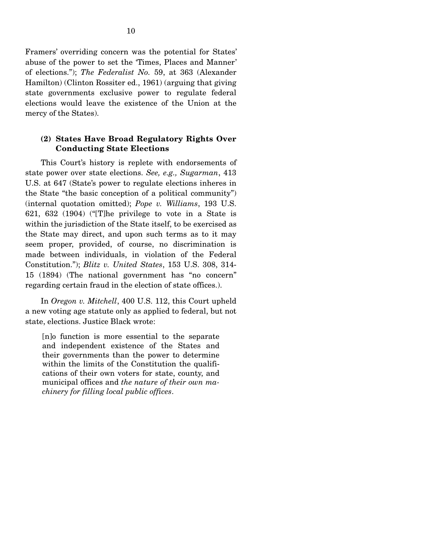Framers' overriding concern was the potential for States' abuse of the power to set the 'Times, Places and Manner' of elections."); *The Federalist No.* 59, at 363 (Alexander Hamilton) (Clinton Rossiter ed., 1961) (arguing that giving state governments exclusive power to regulate federal elections would leave the existence of the Union at the mercy of the States).

#### **(2) States Have Broad Regulatory Rights Over Conducting State Elections**

This Court's history is replete with endorsements of state power over state elections. *See, e.g., Sugarman*, 413 U.S. at 647 (State's power to regulate elections inheres in the State "the basic conception of a political community") (internal quotation omitted); *Pope v. Williams*, 193 U.S. 621, 632 (1904) ("[T]he privilege to vote in a State is within the jurisdiction of the State itself, to be exercised as the State may direct, and upon such terms as to it may seem proper, provided, of course, no discrimination is made between individuals, in violation of the Federal Constitution."); *Blitz v. United States*, 153 U.S. 308, 314- 15 (1894) (The national government has "no concern" regarding certain fraud in the election of state offices.).

In *Oregon v. Mitchell*, 400 U.S. 112, this Court upheld a new voting age statute only as applied to federal, but not state, elections. Justice Black wrote:

[n]o function is more essential to the separate and independent existence of the States and their governments than the power to determine within the limits of the Constitution the qualifications of their own voters for state, county, and municipal offices and *the nature of their own machinery for filling local public offices*.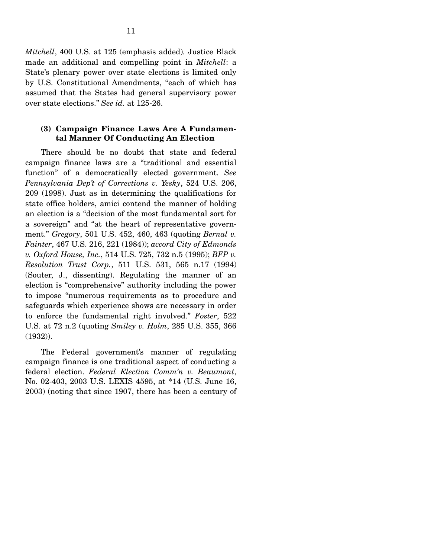*Mitchell*, 400 U.S. at 125 (emphasis added)*.* Justice Black made an additional and compelling point in *Mitchell*: a State's plenary power over state elections is limited only by U.S. Constitutional Amendments, "each of which has assumed that the States had general supervisory power over state elections." *See id.* at 125-26.

#### **(3) Campaign Finance Laws Are A Fundamental Manner Of Conducting An Election**

There should be no doubt that state and federal campaign finance laws are a "traditional and essential function" of a democratically elected government. *See Pennsylvania Dep't of Corrections v. Yesky*, 524 U.S. 206, 209 (1998). Just as in determining the qualifications for state office holders, amici contend the manner of holding an election is a "decision of the most fundamental sort for a sovereign" and "at the heart of representative government." *Gregory*, 501 U.S. 452, 460, 463 (quoting *Bernal v. Fainter*, 467 U.S. 216, 221 (1984)); *accord City of Edmonds v. Oxford House, Inc.*, 514 U.S. 725, 732 n.5 (1995); *BFP v. Resolution Trust Corp.*, 511 U.S. 531, 565 n.17 (1994) (Souter, J., dissenting). Regulating the manner of an election is "comprehensive" authority including the power to impose "numerous requirements as to procedure and safeguards which experience shows are necessary in order to enforce the fundamental right involved." *Foster*, 522 U.S. at 72 n.2 (quoting *Smiley v. Holm*, 285 U.S. 355, 366 (1932)).

The Federal government's manner of regulating campaign finance is one traditional aspect of conducting a federal election. *Federal Election Comm'n v. Beaumont*, No. 02-403, 2003 U.S. LEXIS 4595, at \*14 (U.S. June 16, 2003) (noting that since 1907, there has been a century of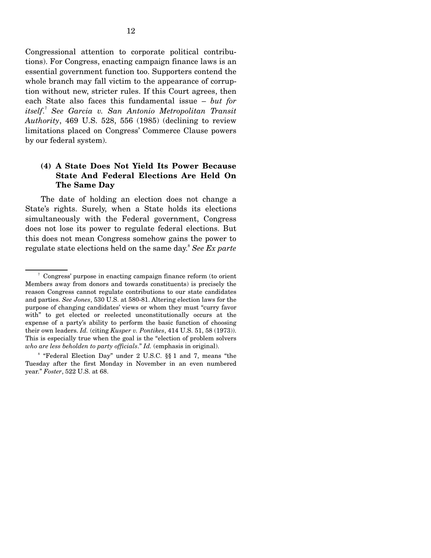Congressional attention to corporate political contributions). For Congress, enacting campaign finance laws is an essential government function too. Supporters contend the whole branch may fall victim to the appearance of corruption without new, stricter rules. If this Court agrees, then each State also faces this fundamental issue – *but for* <sup>7</sup> *itself*. *See Garcia v. San Antonio Metropolitan Transit Authority*, 469 U.S. 528, 556 (1985) (declining to review limitations placed on Congress' Commerce Clause powers by our federal system).

### **(4) A State Does Not Yield Its Power Because State And Federal Elections Are Held On The Same Day**

The date of holding an election does not change a State's rights. Surely, when a State holds its elections simultaneously with the Federal government, Congress does not lose its power to regulate federal elections. But this does not mean Congress somehow gains the power to regulate state elections held on the same day. <sup>8</sup>*See Ex parte* 

<sup>7</sup> Congress' purpose in enacting campaign finance reform (to orient Members away from donors and towards constituents) is precisely the reason Congress cannot regulate contributions to our state candidates and parties. *See Jones*, 530 U.S. at 580-81. Altering election laws for the purpose of changing candidates' views or whom they must "curry favor with" to get elected or reelected unconstitutionally occurs at the expense of a party's ability to perform the basic function of choosing their own leaders. *Id.* (citing *Kusper v. Pontikes*, 414 U.S. 51, 58 (1973)). This is especially true when the goal is the "election of problem solvers *who are less beholden to party officials*." *Id.* (emphasis in original).

<sup>8 &</sup>quot;Federal Election Day" under 2 U.S.C. §§ 1 and 7, means "the Tuesday after the first Monday in November in an even numbered year." *Foster*, 522 U.S. at 68.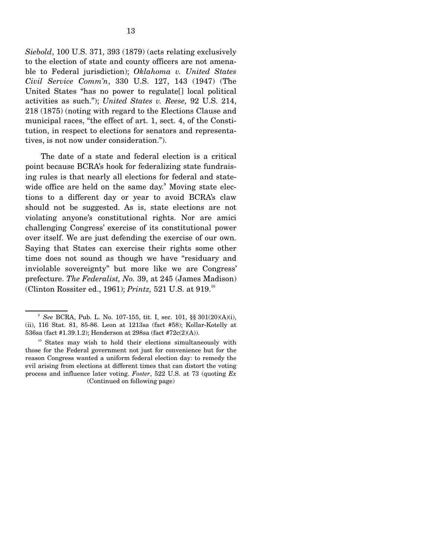*Siebold*, 100 U.S. 371, 393 (1879) (acts relating exclusively to the election of state and county officers are not amenable to Federal jurisdiction); *Oklahoma v. United States Civil Service Comm'n*, 330 U.S. 127, 143 (1947) (The United States "has no power to regulate[] local political activities as such."); *United States v. Reese,* 92 U.S. 214, 218 (1875) (noting with regard to the Elections Clause and municipal races, "the effect of art. 1, sect. 4, of the Constitution, in respect to elections for senators and representatives, is not now under consideration.").

The date of a state and federal election is a critical point because BCRA's hook for federalizing state fundraising rules is that nearly all elections for federal and state wide office are held on the same day. $9$  Moving state elections to a different day or year to avoid BCRA's claw should not be suggested. As is, state elections are not violating anyone's constitutional rights. Nor are amici challenging Congress' exercise of its constitutional power over itself. We are just defending the exercise of our own. Saying that States can exercise their rights some other time does not sound as though we have "residuary and inviolable sovereignty" but more like we are Congress' prefecture. *The Federalist, No.* 39, at 245 (James Madison) (Clinton Rossiter ed., 1961); *Printz,* 521 U.S. at 919.10

<sup>9</sup>*See* BCRA, Pub. L. No. 107-155, tit. I, sec. 101, §§ 301(20)(A)(i), (ii), 116 Stat. 81, 85-86. Leon at 1213sa (fact #58); Kollar-Kotelly at 536sa (fact #1.39.1.2); Henderson at 298sa (fact #72c(2)(A)).

<sup>&</sup>lt;sup>10</sup> States may wish to hold their elections simultaneously with those for the Federal government not just for convenience but for the reason Congress wanted a uniform federal election day: to remedy the evil arising from elections at different times that can distort the voting process and influence later voting. *Foster*, 522 U.S. at 73 (quoting *Ex*  (Continued on following page)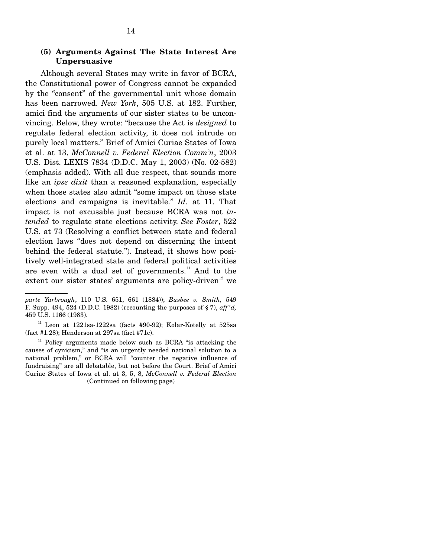14

Although several States may write in favor of BCRA, the Constitutional power of Congress cannot be expanded by the "consent" of the governmental unit whose domain has been narrowed. *New York*, 505 U.S. at 182. Further, amici find the arguments of our sister states to be unconvincing. Below, they wrote: "because the Act is *designed* to regulate federal election activity, it does not intrude on purely local matters." Brief of Amici Curiae States of Iowa et al. at 13, *McConnell v. Federal Election Comm'n*, 2003 U.S. Dist. LEXIS 7834 (D.D.C. May 1, 2003) (No. 02-582) (emphasis added). With all due respect, that sounds more like an *ipse dixit* than a reasoned explanation, especially when those states also admit "some impact on those state elections and campaigns is inevitable." *Id.* at 11. That impact is not excusable just because BCRA was not *intended* to regulate state elections activity. *See Foster*, 522 U.S. at 73 (Resolving a conflict between state and federal election laws "does not depend on discerning the intent behind the federal statute."). Instead, it shows how positively well-integrated state and federal political activities are even with a dual set of governments.<sup>11</sup> And to the extent our sister states' arguments are policy-driven<sup>12</sup> we

 $12$  Policy arguments made below such as BCRA "is attacking the causes of cynicism," and "is an urgently needed national solution to a national problem," or BCRA will "counter the negative influence of fundraising" are all debatable, but not before the Court. Brief of Amici Curiae States of Iowa et al. at 3, 5, 8, *McConnell v. Federal Election*  (Continued on following page)

*parte Yarbrough*, 110 U.S. 651, 661 (1884)); *Busbee v. Smith,* 549 F. Supp. 494, 524 (D.D.C. 1982) (recounting the purposes of § 7), *aff 'd,*  459 U.S. 1166 (1983).

<sup>&</sup>lt;sup>11</sup> Leon at  $1221$ sa-1222sa (facts #90-92); Kolar-Kotelly at 525sa (fact #1.28); Henderson at 297sa (fact #71c).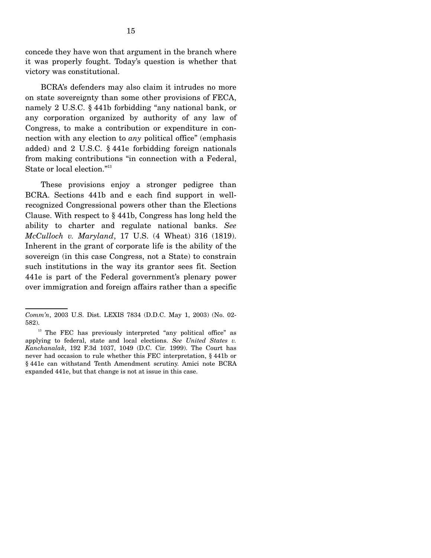concede they have won that argument in the branch where it was properly fought. Today's question is whether that victory was constitutional.

BCRA's defenders may also claim it intrudes no more on state sovereignty than some other provisions of FECA, namely 2 U.S.C. § 441b forbidding "any national bank, or any corporation organized by authority of any law of Congress, to make a contribution or expenditure in connection with any election to *any* political office" (emphasis added) and 2 U.S.C. § 441e forbidding foreign nationals from making contributions "in connection with a Federal, State or local election."<sup>13</sup>

These provisions enjoy a stronger pedigree than BCRA. Sections 441b and e each find support in wellrecognized Congressional powers other than the Elections Clause. With respect to § 441b, Congress has long held the ability to charter and regulate national banks. *See McCulloch v. Maryland*, 17 U.S. (4 Wheat) 316 (1819). Inherent in the grant of corporate life is the ability of the sovereign (in this case Congress, not a State) to constrain such institutions in the way its grantor sees fit. Section 441e is part of the Federal government's plenary power over immigration and foreign affairs rather than a specific

*Comm'n*, 2003 U.S. Dist. LEXIS 7834 (D.D.C. May 1, 2003) (No. 02- 582).

<sup>&</sup>lt;sup>13</sup> The FEC has previously interpreted "any political office" as applying to federal, state and local elections. *See United States v. Kanchanalak*, 192 F.3d 1037, 1049 (D.C. Cir. 1999). The Court has never had occasion to rule whether this FEC interpretation, § 441b or § 441e can withstand Tenth Amendment scrutiny. Amici note BCRA expanded 441e, but that change is not at issue in this case.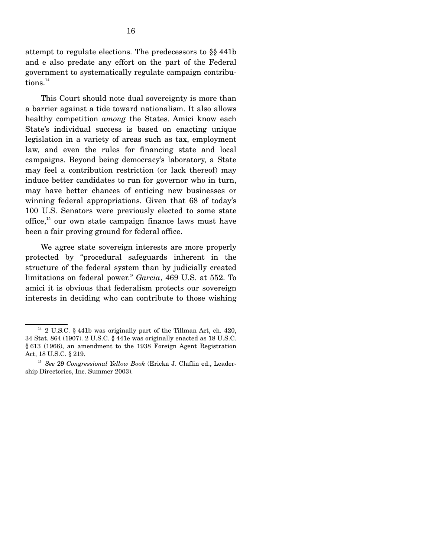attempt to regulate elections. The predecessors to §§ 441b and e also predate any effort on the part of the Federal government to systematically regulate campaign contribu $tions.<sup>14</sup>$ 

This Court should note dual sovereignty is more than a barrier against a tide toward nationalism. It also allows healthy competition *among* the States. Amici know each State's individual success is based on enacting unique legislation in a variety of areas such as tax, employment law, and even the rules for financing state and local campaigns. Beyond being democracy's laboratory, a State may feel a contribution restriction (or lack thereof) may induce better candidates to run for governor who in turn, may have better chances of enticing new businesses or winning federal appropriations. Given that 68 of today's 100 U.S. Senators were previously elected to some state office, $15$  our own state campaign finance laws must have been a fair proving ground for federal office.

We agree state sovereign interests are more properly protected by "procedural safeguards inherent in the structure of the federal system than by judicially created limitations on federal power." *Garcia*, 469 U.S. at 552. To amici it is obvious that federalism protects our sovereign interests in deciding who can contribute to those wishing

<sup>&</sup>lt;sup>14</sup> 2 U.S.C. § 441b was originally part of the Tillman Act, ch. 420, 34 Stat. 864 (1907). 2 U.S.C. § 441e was originally enacted as 18 U.S.C. § 613 (1966), an amendment to the 1938 Foreign Agent Registration Act, 18 U.S.C. § 219.

<sup>15</sup>*See* 29 *Congressional Yellow Book* (Ericka J. Claflin ed., Leadership Directories, Inc. Summer 2003).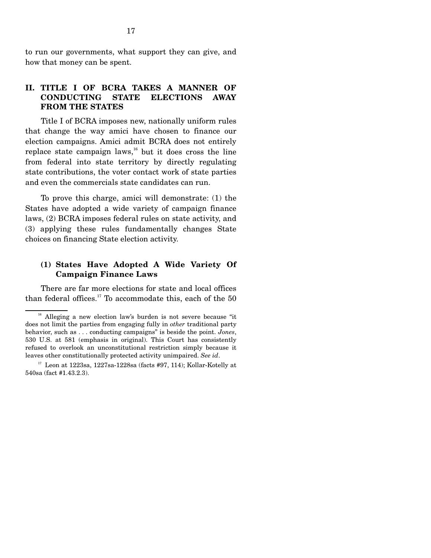to run our governments, what support they can give, and how that money can be spent.

#### **II. TITLE I OF BCRA TAKES A MANNER OF CONDUCTING STATE ELECTIONS AWAY FROM THE STATES**

Title I of BCRA imposes new, nationally uniform rules that change the way amici have chosen to finance our election campaigns. Amici admit BCRA does not entirely replace state campaign laws,<sup>16</sup> but it does cross the line from federal into state territory by directly regulating state contributions, the voter contact work of state parties and even the commercials state candidates can run.

To prove this charge, amici will demonstrate: (1) the States have adopted a wide variety of campaign finance laws, (2) BCRA imposes federal rules on state activity, and (3) applying these rules fundamentally changes State choices on financing State election activity.

#### **(1) States Have Adopted A Wide Variety Of Campaign Finance Laws**

There are far more elections for state and local offices than federal offices.<sup>17</sup> To accommodate this, each of the  $50$ 

<sup>&</sup>lt;sup>16</sup> Alleging a new election law's burden is not severe because "it does not limit the parties from engaging fully in *other* traditional party behavior, such as . . . conducting campaigns" is beside the point. *Jones*, 530 U.S. at 581 (emphasis in original). This Court has consistently refused to overlook an unconstitutional restriction simply because it leaves other constitutionally protected activity unimpaired. *See id*.

<sup>&</sup>lt;sup>17</sup> Leon at 1223sa, 1227sa-1228sa (facts #97, 114); Kollar-Kotelly at 540sa (fact #1.43.2.3).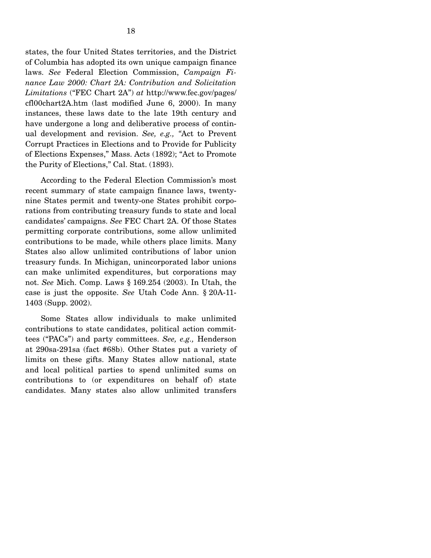states, the four United States territories, and the District of Columbia has adopted its own unique campaign finance laws. *See* Federal Election Commission, *Campaign Finance Law 2000: Chart 2A: Contribution and Solicitation Limitations* ("FEC Chart 2A") *at* http://www.fec.gov/pages/ cfl00chart2A.htm (last modified June 6, 2000). In many instances, these laws date to the late 19th century and have undergone a long and deliberative process of continual development and revision. *See, e.g., "*Act to Prevent Corrupt Practices in Elections and to Provide for Publicity of Elections Expenses," Mass. Acts (1892); "Act to Promote the Purity of Elections," Cal. Stat. (1893).

According to the Federal Election Commission's most recent summary of state campaign finance laws, twentynine States permit and twenty-one States prohibit corporations from contributing treasury funds to state and local candidates' campaigns. *See* FEC Chart 2A. Of those States permitting corporate contributions, some allow unlimited contributions to be made, while others place limits. Many States also allow unlimited contributions of labor union treasury funds. In Michigan, unincorporated labor unions can make unlimited expenditures, but corporations may not. *See* Mich. Comp. Laws § 169.254 (2003). In Utah, the case is just the opposite. *See* Utah Code Ann. § 20A-11- 1403 (Supp. 2002).

Some States allow individuals to make unlimited contributions to state candidates, political action committees ("PACs") and party committees. *See, e.g.,* Henderson at 290sa-291sa (fact #68b). Other States put a variety of limits on these gifts. Many States allow national, state and local political parties to spend unlimited sums on contributions to (or expenditures on behalf of) state candidates. Many states also allow unlimited transfers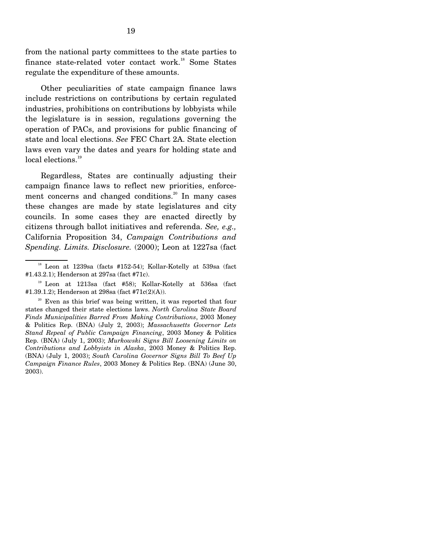from the national party committees to the state parties to finance state-related voter contact work.<sup>18</sup> Some States regulate the expenditure of these amounts.

Other peculiarities of state campaign finance laws include restrictions on contributions by certain regulated industries, prohibitions on contributions by lobbyists while the legislature is in session, regulations governing the operation of PACs, and provisions for public financing of state and local elections. *See* FEC Chart 2A. State election laws even vary the dates and years for holding state and local elections.<sup>19</sup>

Regardless, States are continually adjusting their campaign finance laws to reflect new priorities, enforcement concerns and changed conditions.<sup>20</sup> In many cases these changes are made by state legislatures and city councils. In some cases they are enacted directly by citizens through ballot initiatives and referenda. *See, e.g.,*  California Proposition 34, *Campaign Contributions and Spending. Limits. Disclosure.* (2000); Leon at 1227sa (fact

 $18$  Leon at 1239sa (facts #152-54); Kollar-Kotelly at 539sa (fact #1.43.2.1); Henderson at 297sa (fact #71c).

<sup>19</sup> Leon at 1213sa (fact #58); Kollar-Kotelly at 536sa (fact #1.39.1.2); Henderson at 298sa (fact #71c(2)(A)).

<sup>&</sup>lt;sup>20</sup> Even as this brief was being written, it was reported that four states changed their state elections laws. *North Carolina State Board Finds Municipalities Barred From Making Contributions*, 2003 Money & Politics Rep. (BNA) (July 2, 2003); *Massachusetts Governor Lets Stand Repeal of Public Campaign Financing*, 2003 Money & Politics Rep. (BNA) (July 1, 2003); *Murkowski Signs Bill Loosening Limits on Contributions and Lobbyists in Alaska*, 2003 Money & Politics Rep. (BNA) (July 1, 2003); *South Carolina Governor Signs Bill To Beef Up Campaign Finance Rules*, 2003 Money & Politics Rep. (BNA) (June 30, 2003).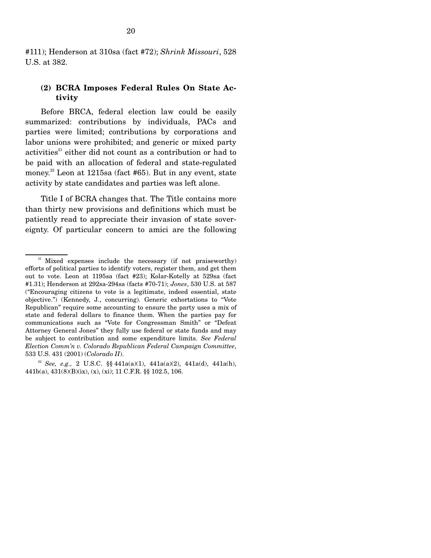### **(2) BCRA Imposes Federal Rules On State Activity**

Before BRCA, federal election law could be easily summarized: contributions by individuals, PACs and parties were limited; contributions by corporations and labor unions were prohibited; and generic or mixed party  $\text{activities}^{21}$  either did not count as a contribution or had to be paid with an allocation of federal and state-regulated money.<sup>22</sup> Leon at 1215sa (fact #65). But in any event, state activity by state candidates and parties was left alone.

Title I of BCRA changes that. The Title contains more than thirty new provisions and definitions which must be patiently read to appreciate their invasion of state sovereignty. Of particular concern to amici are the following

 $21$  Mixed expenses include the necessary (if not praiseworthy) efforts of political parties to identify voters, register them, and get them out to vote. Leon at 1195sa (fact #23); Kolar-Kotelly at 529sa (fact #1.31); Henderson at 292sa-294sa (facts #70-71); *Jones*, 530 U.S. at 587 ("Encouraging citizens to vote is a legitimate, indeed essential, state objective.") (Kennedy, J., concurring). Generic exhortations to "Vote Republican" require some accounting to ensure the party uses a mix of state and federal dollars to finance them. When the parties pay for communications such as "Vote for Congressman Smith" or "Defeat Attorney General Jones" they fully use federal or state funds and may be subject to contribution and some expenditure limits. *See Federal Election Comm'n v. Colorado Republican Federal Campaign Committee*, 533 U.S. 431 (2001) (*Colorado II*).

<sup>&</sup>lt;sup>22</sup> See, e.g., 2 U.S.C. §§  $441a(a)(1)$ ,  $441a(a)(2)$ ,  $441a(d)$ ,  $441a(h)$ , 441b(a), 431(8)(B)(ix), (x), (xi); 11 C.F.R. §§ 102.5, 106.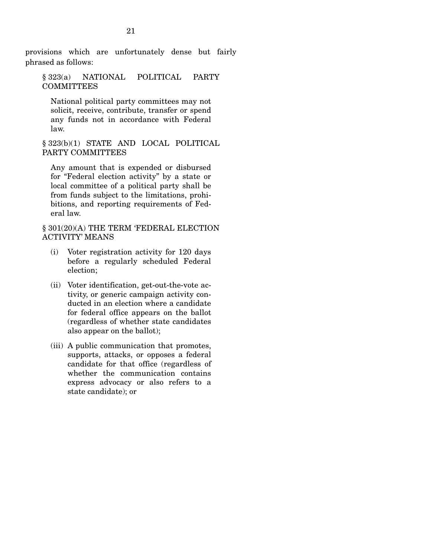provisions which are unfortunately dense but fairly phrased as follows:

§ 323(a) NATIONAL POLITICAL PARTY **COMMITTEES** 

National political party committees may not solicit, receive, contribute, transfer or spend any funds not in accordance with Federal law.

§ 323(b)(1) STATE AND LOCAL POLITICAL PARTY COMMITTEES

Any amount that is expended or disbursed for "Federal election activity" by a state or local committee of a political party shall be from funds subject to the limitations, prohibitions, and reporting requirements of Federal law.

§ 301(20)(A) THE TERM 'FEDERAL ELECTION ACTIVITY' MEANS

- (i) Voter registration activity for 120 days before a regularly scheduled Federal election;
- (ii) Voter identification, get-out-the-vote activity, or generic campaign activity conducted in an election where a candidate for federal office appears on the ballot (regardless of whether state candidates also appear on the ballot);
- (iii) A public communication that promotes, supports, attacks, or opposes a federal candidate for that office (regardless of whether the communication contains express advocacy or also refers to a state candidate); or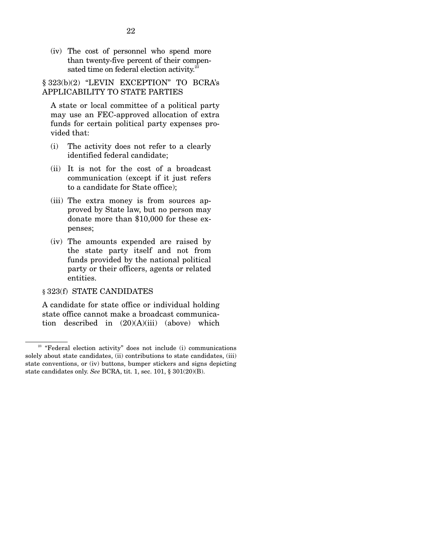(iv) The cost of personnel who spend more than twenty-five percent of their compen sated time on federal election activity.<sup>23</sup>

§ 323(b)(2) "LEVIN EXCEPTION" TO BCRA's APPLICABILITY TO STATE PARTIES

A state or local committee of a political party may use an FEC-approved allocation of extra funds for certain political party expenses provided that:

- (i) The activity does not refer to a clearly identified federal candidate;
- (ii) It is not for the cost of a broadcast communication (except if it just refers to a candidate for State office);
- (iii) The extra money is from sources approved by State law, but no person may donate more than \$10,000 for these expenses;
- (iv) The amounts expended are raised by the state party itself and not from funds provided by the national political party or their officers, agents or related entities.

#### § 323(f) STATE CANDIDATES

A candidate for state office or individual holding state office cannot make a broadcast communication described in (20)(A)(iii) (above) which

<sup>&</sup>lt;sup>23</sup> "Federal election activity" does not include (i) communications solely about state candidates, (ii) contributions to state candidates, (iii) state conventions, or (iv) buttons, bumper stickers and signs depicting state candidates only. *See* BCRA, tit. 1, sec. 101, § 301(20)(B).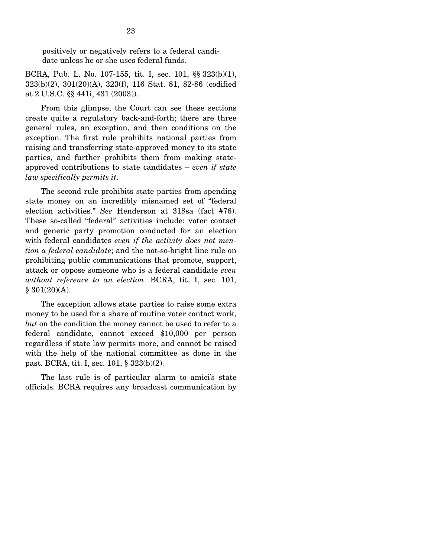positively or negatively refers to a federal candidate unless he or she uses federal funds.

BCRA, Pub. L. No. 107-155, tit. I, sec. 101, §§ 323(b)(1), 323(b)(2), 301(20)(A), 323(f), 116 Stat. 81, 82-86 (codified at 2 U.S.C. §§ 441i, 431 (2003)).

From this glimpse, the Court can see these sections create quite a regulatory back-and-forth; there are three general rules, an exception, and then conditions on the exception. The first rule prohibits national parties from raising and transferring state-approved money to its state parties, and further prohibits them from making stateapproved contributions to state candidates – *even if state law specifically permits it*.

The second rule prohibits state parties from spending state money on an incredibly misnamed set of "federal election activities." *See* Henderson at 318sa (fact #76). These so-called "federal" activities include: voter contact and generic party promotion conducted for an election with federal candidates *even if the activity does not mention a federal candidate*; and the not-so-bright line rule on prohibiting public communications that promote, support, attack or oppose someone who is a federal candidate *even without reference to an election*. BCRA, tit. I, sec. 101, § 301(20)(A).

The exception allows state parties to raise some extra money to be used for a share of routine voter contact work, *but* on the condition the money cannot be used to refer to a federal candidate, cannot exceed \$10,000 per person regardless if state law permits more, and cannot be raised with the help of the national committee as done in the past. BCRA, tit. I, sec. 101, § 323(b)(2).

The last rule is of particular alarm to amici's state officials. BCRA requires any broadcast communication by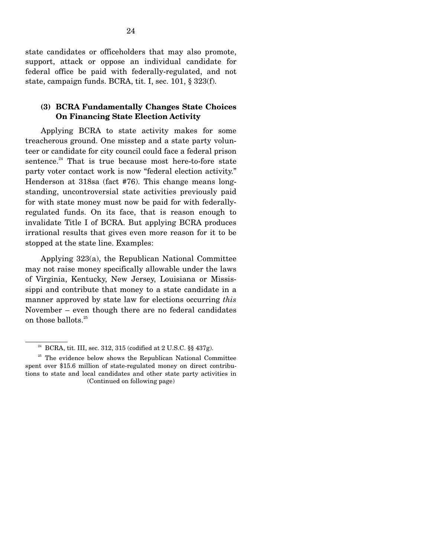state candidates or officeholders that may also promote, support, attack or oppose an individual candidate for federal office be paid with federally-regulated, and not state, campaign funds. BCRA, tit. I, sec. 101, § 323(f).

#### **(3) BCRA Fundamentally Changes State Choices On Financing State Election Activity**

Applying BCRA to state activity makes for some treacherous ground. One misstep and a state party volunteer or candidate for city council could face a federal prison sentence. $24$  That is true because most here-to-fore state party voter contact work is now "federal election activity." Henderson at 318sa (fact #76). This change means longstanding, uncontroversial state activities previously paid for with state money must now be paid for with federallyregulated funds. On its face, that is reason enough to invalidate Title I of BCRA. But applying BCRA produces irrational results that gives even more reason for it to be stopped at the state line. Examples:

Applying 323(a), the Republican National Committee may not raise money specifically allowable under the laws of Virginia, Kentucky, New Jersey, Louisiana or Mississippi and contribute that money to a state candidate in a manner approved by state law for elections occurring *this*  November – even though there are no federal candidates on those ballots.25

<sup>&</sup>lt;sup>24</sup> BCRA, tit. III, sec. 312, 315 (codified at 2 U.S.C. §§ 437g).

 $25$  The evidence below shows the Republican National Committee spent over \$15.6 million of state-regulated money on direct contributions to state and local candidates and other state party activities in (Continued on following page)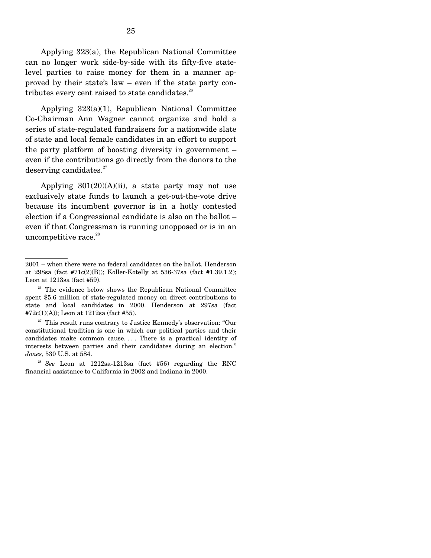Applying 323(a), the Republican National Committee can no longer work side-by-side with its fifty-five statelevel parties to raise money for them in a manner approved by their state's law – even if the state party contributes every cent raised to state candidates. $26$ 

Applying 323(a)(1), Republican National Committee Co-Chairman Ann Wagner cannot organize and hold a series of state-regulated fundraisers for a nationwide slate of state and local female candidates in an effort to support the party platform of boosting diversity in government – even if the contributions go directly from the donors to the deserving candidates. $27$ 

Applying  $301(20)(A)(ii)$ , a state party may not use exclusively state funds to launch a get-out-the-vote drive because its incumbent governor is in a hotly contested election if a Congressional candidate is also on the ballot – even if that Congressman is running unopposed or is in an uncompetitive race.<sup>28</sup>

 $27$  This result runs contrary to Justice Kennedy's observation: "Our constitutional tradition is one in which our political parties and their candidates make common cause. . . . There is a practical identity of interests between parties and their candidates during an election." *Jones*, 530 U.S. at 584.

<sup>28</sup>*See* Leon at 1212sa-1213sa (fact #56) regarding the RNC financial assistance to California in 2002 and Indiana in 2000.

<sup>2001 –</sup> when there were no federal candidates on the ballot. Henderson at 298sa (fact #71c(2)(B)); Koller-Kotelly at 536-37sa (fact #1.39.1.2); Leon at 1213sa (fact #59).

<sup>&</sup>lt;sup>26</sup> The evidence below shows the Republican National Committee spent \$5.6 million of state-regulated money on direct contributions to state and local candidates in 2000. Henderson at 297sa (fact #72c(1)(A)); Leon at 1212sa (fact #55).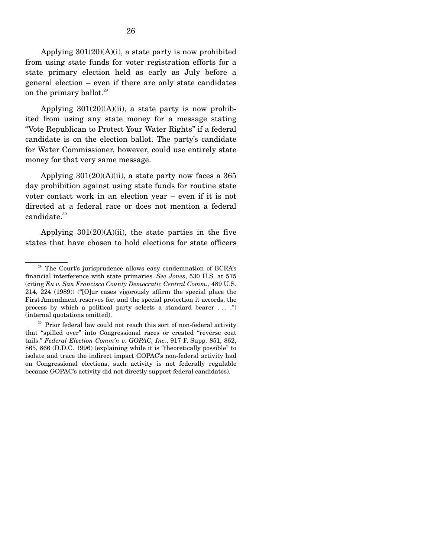Applying  $301(20)(A)(i)$ , a state party is now prohibited from using state funds for voter registration efforts for a state primary election held as early as July before a general election – even if there are only state candidates on the primary ballot.<sup>29</sup>

Applying  $301(20)(A)(ii)$ , a state party is now prohibited from using any state money for a message stating "Vote Republican to Protect Your Water Rights" if a federal candidate is on the election ballot. The party's candidate for Water Commissioner, however, could use entirely state money for that very same message.

Applying  $301(20)(A)(ii)$ , a state party now faces a 365 day prohibition against using state funds for routine state voter contact work in an election year – even if it is not directed at a federal race or does not mention a federal candidate.<sup>30</sup>

Applying  $301(20)(A)(ii)$ , the state parties in the five states that have chosen to hold elections for state officers

<sup>&</sup>lt;sup>29</sup> The Court's jurisprudence allows easy condemnation of BCRA's financial interference with state primaries. *See Jones*, 530 U.S. at 575 (citing *Eu v. San Francisco County Democratic Central Comm.*, 489 U.S. 214, 224 (1989)) ("[O]ur cases vigorously affirm the special place the First Amendment reserves for, and the special protection it accords, the process by which a political party selects a standard bearer . . . .") (internal quotations omitted).

<sup>&</sup>lt;sup>30</sup> Prior federal law could not reach this sort of non-federal activity that "spilled over" into Congressional races or created "reverse coat tails." *Federal Election Comm'n v. GOPAC, Inc.*, 917 F. Supp. 851, 862, 865, 866 (D.D.C. 1996) (explaining while it is "theoretically possible" to isolate and trace the indirect impact GOPAC's non-federal activity had on Congressional elections, such activity is not federally regulable because GOPAC's activity did not directly support federal candidates).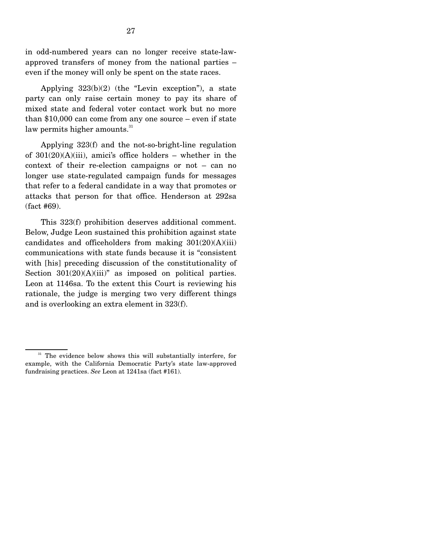in odd-numbered years can no longer receive state-lawapproved transfers of money from the national parties – even if the money will only be spent on the state races.

Applying 323(b)(2) (the "Levin exception"), a state party can only raise certain money to pay its share of mixed state and federal voter contact work but no more than \$10,000 can come from any one source – even if state law permits higher amounts. $31$ 

Applying 323(f) and the not-so-bright-line regulation of  $301(20)(A)(iii)$ , amici's office holders – whether in the context of their re-election campaigns or not – can no longer use state-regulated campaign funds for messages that refer to a federal candidate in a way that promotes or attacks that person for that office. Henderson at 292sa (fact #69).

This 323(f) prohibition deserves additional comment. Below, Judge Leon sustained this prohibition against state candidates and officeholders from making  $301(20)(A)(iii)$ communications with state funds because it is "consistent with [his] preceding discussion of the constitutionality of Section  $301(20)(A)(iii)$ " as imposed on political parties. Leon at 1146sa. To the extent this Court is reviewing his rationale, the judge is merging two very different things and is overlooking an extra element in 323(f).

<sup>&</sup>lt;sup>31</sup> The evidence below shows this will substantially interfere, for example, with the California Democratic Party's state law-approved fundraising practices. *See* Leon at 1241sa (fact #161).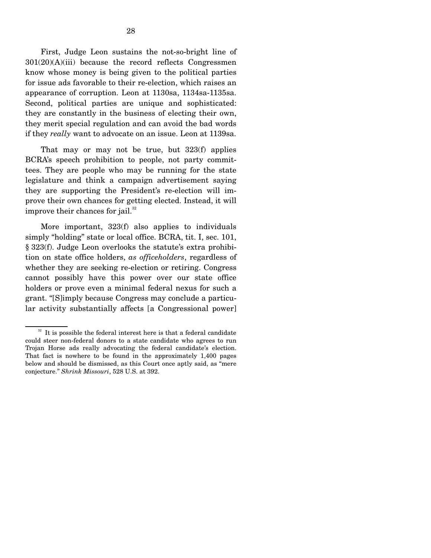First, Judge Leon sustains the not-so-bright line of  $301(20)(A)(iii)$  because the record reflects Congressmen know whose money is being given to the political parties for issue ads favorable to their re-election, which raises an appearance of corruption. Leon at 1130sa, 1134sa-1135sa. Second, political parties are unique and sophisticated: they are constantly in the business of electing their own, they merit special regulation and can avoid the bad words if they *really* want to advocate on an issue. Leon at 1139sa.

That may or may not be true, but 323(f) applies BCRA's speech prohibition to people, not party committees. They are people who may be running for the state legislature and think a campaign advertisement saying they are supporting the President's re-election will improve their own chances for getting elected. Instead, it will improve their chances for jail. $32$ 

More important, 323(f) also applies to individuals simply "holding" state or local office. BCRA, tit. I, sec. 101, § 323(f). Judge Leon overlooks the statute's extra prohibition on state office holders, *as officeholders*, regardless of whether they are seeking re-election or retiring. Congress cannot possibly have this power over our state office holders or prove even a minimal federal nexus for such a grant. "[S]imply because Congress may conclude a particular activity substantially affects [a Congressional power]

 $32$  It is possible the federal interest here is that a federal candidate could steer non-federal donors to a state candidate who agrees to run Trojan Horse ads really advocating the federal candidate's election. That fact is nowhere to be found in the approximately 1,400 pages below and should be dismissed, as this Court once aptly said, as "mere conjecture." *Shrink Missouri*, 528 U.S. at 392.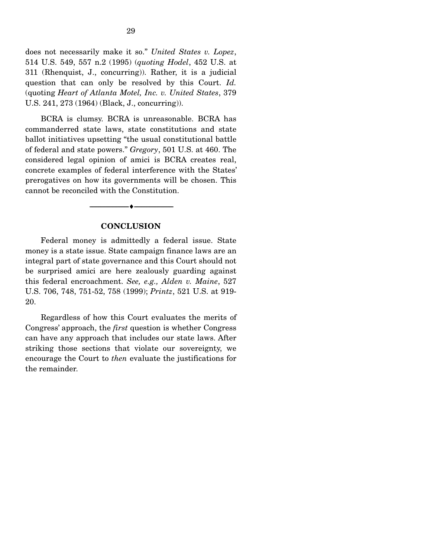does not necessarily make it so." *United States v. Lopez*, 514 U.S. 549, 557 n.2 (1995) (*quoting Hodel*, 452 U.S. at 311 (Rhenquist, J., concurring)). Rather, it is a judicial question that can only be resolved by this Court. *Id.*  (quoting *Heart of Atlanta Motel, Inc. v. United States*, 379 U.S. 241, 273 (1964) (Black, J., concurring)).

BCRA is clumsy. BCRA is unreasonable. BCRA has commanderred state laws, state constitutions and state ballot initiatives upsetting "the usual constitutional battle of federal and state powers." *Gregory*, 501 U.S. at 460. The considered legal opinion of amici is BCRA creates real, concrete examples of federal interference with the States' prerogatives on how its governments will be chosen. This cannot be reconciled with the Constitution.

#### **CONCLUSION**

----------------------------- ------------------------------

----♦-- -

Federal money is admittedly a federal issue. State money is a state issue. State campaign finance laws are an integral part of state governance and this Court should not be surprised amici are here zealously guarding against this federal encroachment. *See, e.g., Alden v. Maine*, 527 U.S. 706, 748, 751-52, 758 (1999); *Printz*, 521 U.S. at 919- 20.

Regardless of how this Court evaluates the merits of Congress' approach, the *first* question is whether Congress can have any approach that includes our state laws. After striking those sections that violate our sovereignty, we encourage the Court to *then* evaluate the justifications for the remainder.